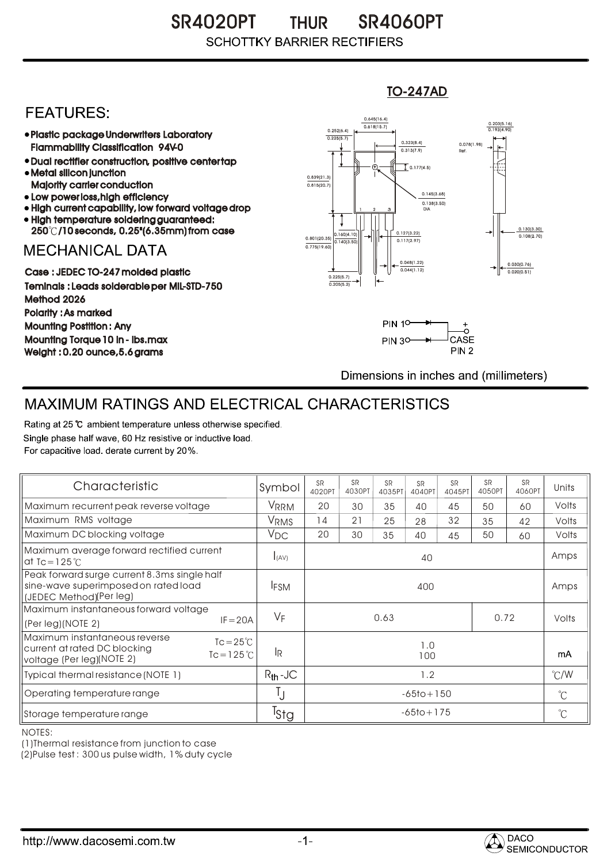SR4020PT THUR SR4060PT **SCHOTTKY BARRIER RECTIFIERS** 

## **FEATURES:**

- Plastic package Underwriters Laboratory Flammability Classification 94V-0
- Dual rectifier construction, positive center tap Metal silicon junction
- Majority carrier conduction
- Low power loss, high efficiency
- High current capability, low forward voltage drop High temperature soldering guaranteed:
- 250 /10 seconds, 0.25"(6.35mm) from case

## **MECHANICAL DATA**

Case : JEDEC TO-247 molded plastic Teminals : Leads solderable per MIL-STD-750 Method 2026 Polarity : As marked Mounting Postition : Any Mounting Torque 10 in - lbs.max Weight : 0.20 ounce,5.6 grams





Dimensions in inches and (millimeters)

## MAXIMUM RATINGS AND ELECTRICAL CHARACTERISTICS

Rating at 25 °C ambient temperature unless otherwise specified. Single phase half wave, 60 Hz resistive or inductive load. For capacitive load, derate current by 20%.

| Characteristic                                                                                                                           | Symbol           | <b>SR</b><br>4020PT | <b>SR</b><br>4030PT | <b>SR</b><br>4035PT | <b>SR</b><br>4040PT | <b>SR</b><br>4045PT | <b>SR</b><br>4050PT | <b>SR</b><br>4060PT  | Units         |
|------------------------------------------------------------------------------------------------------------------------------------------|------------------|---------------------|---------------------|---------------------|---------------------|---------------------|---------------------|----------------------|---------------|
| Maximum recurrent peak reverse voltage                                                                                                   | VRRM             | 20                  | 30                  | 35                  | 40                  | 45                  | 50                  | 60                   | Volts         |
| Maximum RMS voltage                                                                                                                      | V <sub>RMS</sub> | 14                  | 21                  | 25                  | 28                  | 32                  | 35                  | 42                   | Volts         |
| Maximum DC blocking voltage                                                                                                              | $V_{DC}$         | 20                  | 30                  | 35                  | 40                  | 45                  | 50                  | 60                   | Volts         |
| Maximum average forward rectified current<br>at Tc = $125^\circ$ C                                                                       | I(AV)            | 40                  |                     |                     |                     |                     |                     |                      | Amps          |
| Peak forward surge current 8.3ms single half<br>sine-wave superimposed on rated load<br>(JEDEC Method)(Per leg)                          | <b>IFSM</b>      | 400                 |                     |                     |                     |                     |                     |                      | Amps          |
| Maximum instantaneous forward voltage<br>$IF = 20A$<br>(Per leg)(NOTE 2)                                                                 | $V_F$            | 0.63<br>0.72        |                     |                     |                     |                     |                     | Volts                |               |
| Maximum instantaneous reverse<br>$Tc = 25^{\circ}C$<br>current at rated DC blocking<br>$Tc = 125^{\circ}$ C<br>voltage (Per leg)(NOTE 2) | IR.              | 1.0<br>100          |                     |                     |                     |                     |                     |                      | mA            |
| Typical thermal resistance (NOTE 1)                                                                                                      | $R_{th}$ -JC     | 1.2                 |                     |                     |                     |                     |                     |                      | $\degree$ C/W |
| Operating temperature range                                                                                                              | Ţ                | $-65$ to + 150      |                     |                     |                     |                     | $^{\circ}C$         |                      |               |
| Storage temperature range                                                                                                                | <sup>I</sup> Sta | $-65$ to + 175      |                     |                     |                     |                     |                     | $\mathrm{C}^{\circ}$ |               |

NOTES:

(1)Thermal resistance from junction to case

(2)Pulse test : 300 us pulse width, 1% duty cycle